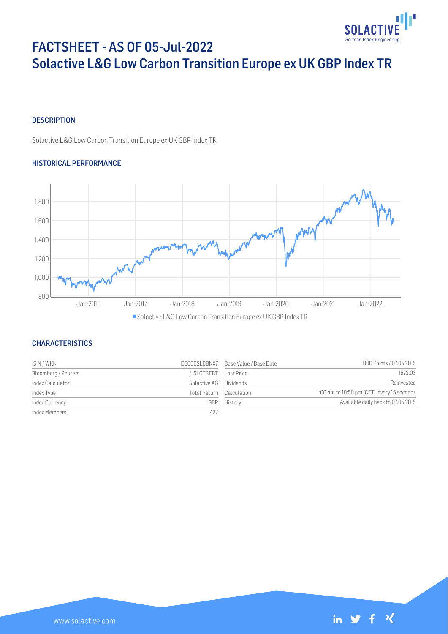

# FACTSHEET - AS OF 05-Jul-2022 Solactive L&G Low Carbon Transition Europe ex UK GBP Index TR

# **DESCRIPTION**

Solactive L&G Low Carbon Transition Europe ex UK GBP Index TR

# HISTORICAL PERFORMANCE



# **CHARACTERISTICS**

| ISIN / WKN          |                        | DE000SL0BNX7 Base Value / Base Date | 1000 Points / 07.05.2015                    |
|---------------------|------------------------|-------------------------------------|---------------------------------------------|
| Bloomberg / Reuters | SLCTBEBT               | Last Price                          | 1572.03                                     |
| Index Calculator    | Solactive AG Dividends |                                     | Reinvested                                  |
| Index Type          |                        | Total Return Calculation            | 1:00 am to 10:50 pm (CET), every 15 seconds |
| Index Currency      | GBP                    | History                             | Available daily back to 07.05.2015          |
| Index Members       | 427                    |                                     |                                             |

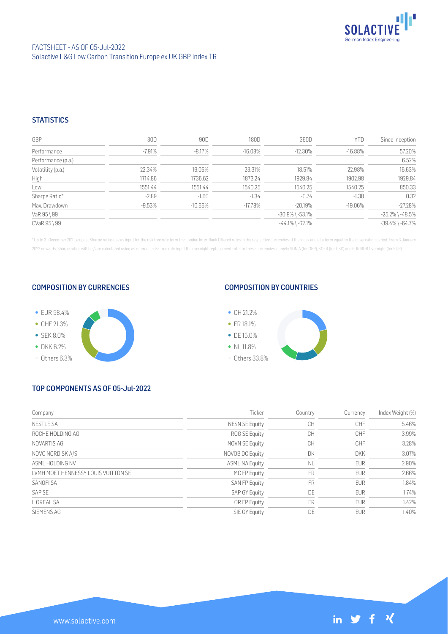

# **STATISTICS**

| GBP                | 30D       | 90D        | 180D       | 360D                  | YTD        | Since Inception       |
|--------------------|-----------|------------|------------|-----------------------|------------|-----------------------|
| Performance        | $-7.91%$  | $-8.17%$   | $-16.08%$  | $-12.30\%$            | $-16.88\%$ | 57.20%                |
| Performance (p.a.) |           |            |            |                       |            | 6.52%                 |
| Volatility (p.a.)  | 22.34%    | 19.05%     | 23.31%     | 18.51%                | 22.98%     | 16.63%                |
| High               | 1714.86   | 1736.62    | 1873.24    | 1929.84               | 1902.98    | 1929.84               |
| Low                | 1551.44   | 1551.44    | 1540.25    | 1540.25               | 1540.25    | 850.33                |
| Sharpe Ratio*      | $-2.89$   | $-1.60$    | $-1.34$    | $-0.74$               | $-1.38$    | 0.32                  |
| Max. Drawdown      | $-9.53\%$ | $-10.66\%$ | $-17.78\%$ | $-20.19\%$            | $-19.06\%$ | $-27.28%$             |
| VaR 95 \ 99        |           |            |            | $-30.8\%$ \ $-53.1\%$ |            | $-25.2\%$ \ $-48.5\%$ |
| CVaR 95 \ 99       |           |            |            | $-44.1\%$ \ $-62.1\%$ |            | $-39.4\%$ \ $-64.7\%$ |

\* Up to 31 December 2021, ex-post Sharpe ratios use as input for the risk free rate term the London Inter-Bank Offered rates in the respective currencies of the index and at a term equal to the observation period. From 3 J 2022 onwards, Sharpe ratios will be / are calculated using as reference risk free rate input the overnight replacement rate for these currencies, namely SONIA (for GBP), SOFR (for USD) and EURIBOR Overnight (for EUR).

### COMPOSITION BY CURRENCIES



## COMPOSITION BY COUNTRIES



# TOP COMPONENTS AS OF 05-Jul-2022

| Company                             | Ticker                | Country   | Currency   | Index Weight (%) |
|-------------------------------------|-----------------------|-----------|------------|------------------|
| <b>NESTLE SA</b>                    | <b>NESN SE Equity</b> | <b>CH</b> | CHF        | 5.46%            |
| ROCHE HOLDING AG                    | ROG SE Equity         | CH        | <b>CHF</b> | 3.99%            |
| NOVARTIS AG                         | NOVN SE Equity        | <b>CH</b> | <b>CHF</b> | 3.28%            |
| NOVO NORDISK A/S                    | NOVOB DC Equity       | DK        | <b>DKK</b> | 3.07%            |
| ASMI HOI DING NV                    | <b>ASML NA Equity</b> | <b>NL</b> | <b>EUR</b> | 2.90%            |
| LVMH MOET HENNESSY LOUIS VUITTON SE | MC FP Equity          | <b>FR</b> | <b>EUR</b> | 2.66%            |
| SANOFI SA                           | <b>SAN FP Equity</b>  | <b>FR</b> | <b>EUR</b> | 1.84%            |
| SAP SE                              | SAP GY Equity         | DE        | <b>EUR</b> | 1.74%            |
| L OREAL SA                          | OR FP Equity          | <b>FR</b> | <b>EUR</b> | 1.42%            |
| SIEMENS AG                          | SIE GY Equity         | DE        | <b>EUR</b> | 1.40%            |